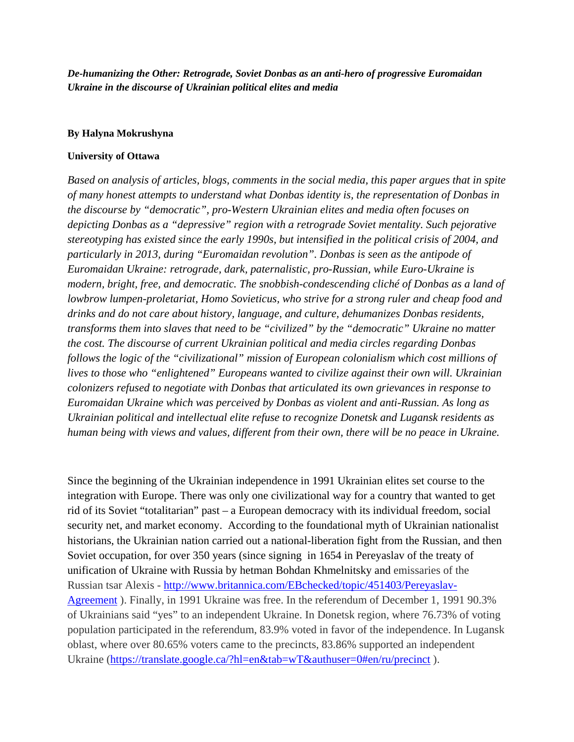*De-humanizing the Other: Retrograde, Soviet Donbas as an anti-hero of progressive Euromaidan Ukraine in the discourse of Ukrainian political elites and media*

## **By Halyna Mokrushyna**

## **University of Ottawa**

*Based on analysis of articles, blogs, comments in the social media, this paper argues that in spite of many honest attempts to understand what Donbas identity is, the representation of Donbas in the discourse by "democratic", pro-Western Ukrainian elites and media often focuses on depicting Donbas as a "depressive" region with a retrograde Soviet mentality. Such pejorative stereotyping has existed since the early 1990s, but intensified in the political crisis of 2004, and particularly in 2013, during "Euromaidan revolution". Donbas is seen as the antipode of Euromaidan Ukraine: retrograde, dark, paternalistic, pro-Russian, while Euro-Ukraine is modern, bright, free, and democratic. The snobbish-condescending cliché of Donbas as a land of lowbrow lumpen-proletariat, Homo Sovieticus, who strive for a strong ruler and cheap food and drinks and do not care about history, language, and culture, dehumanizes Donbas residents, transforms them into slaves that need to be "civilized" by the "democratic" Ukraine no matter the cost. The discourse of current Ukrainian political and media circles regarding Donbas follows the logic of the "civilizational" mission of European colonialism which cost millions of lives to those who "enlightened" Europeans wanted to civilize against their own will. Ukrainian colonizers refused to negotiate with Donbas that articulated its own grievances in response to Euromaidan Ukraine which was perceived by Donbas as violent and anti-Russian. As long as Ukrainian political and intellectual elite refuse to recognize Donetsk and Lugansk residents as human being with views and values, different from their own, there will be no peace in Ukraine.*

Since the beginning of the Ukrainian independence in 1991 Ukrainian elites set course to the integration with Europe. There was only one civilizational way for a country that wanted to get rid of its Soviet "totalitarian" past – a European democracy with its individual freedom, social security net, and market economy. According to the foundational myth of Ukrainian nationalist historians, the Ukrainian nation carried out a national-liberation fight from the Russian, and then Soviet occupation, for over 350 years (since signing in 1654 in Pereyaslav of the treaty of unification of Ukraine with Russia by hetman Bohdan Khmelnitsky and emissaries of the Russian tsar Alexis - [http://www.britannica.com/EBchecked/topic/451403/Pereyaslav-](http://www.britannica.com/EBchecked/topic/451403/Pereyaslav-Agreement)[Agreement](http://www.britannica.com/EBchecked/topic/451403/Pereyaslav-Agreement) ). Finally, in 1991 Ukraine was free. In the referendum of December 1, 1991 90.3% of Ukrainians said "yes" to an independent Ukraine. In Donetsk region, where 76.73% of voting population participated in the referendum, 83.9% voted in favor of the independence. In Lugansk oblast, where over 80.65% voters came to the precincts, 83.86% supported an independent Ukraine [\(https://translate.google.ca/?hl=en&tab=wT&authuser=0#en/ru/precinct](https://translate.google.ca/?hl=en&tab=wT&authuser=0#en/ru/precinct)).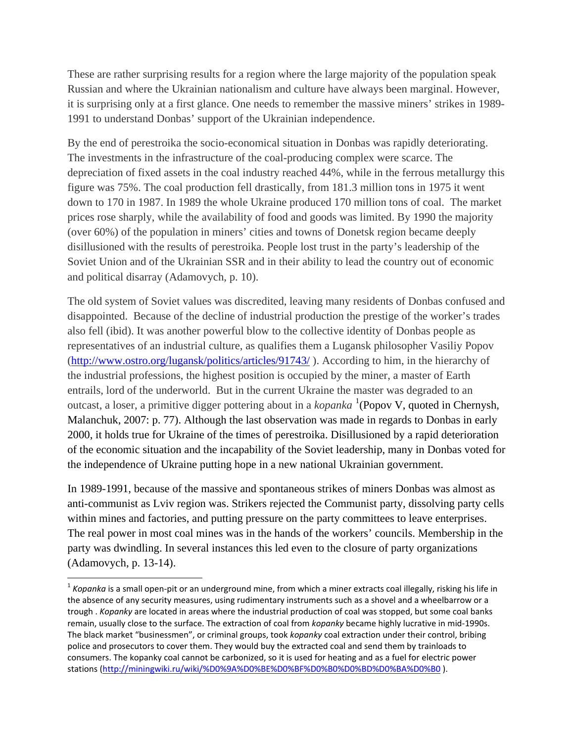These are rather surprising results for a region where the large majority of the population speak Russian and where the Ukrainian nationalism and culture have always been marginal. However, it is surprising only at a first glance. One needs to remember the massive miners' strikes in 1989- 1991 to understand Donbas' support of the Ukrainian independence.

By the end of perestroika the socio-economical situation in Donbas was rapidly deteriorating. The investments in the infrastructure of the coal-producing complex were scarce. The depreciation of fixed assets in the coal industry reached 44%, while in the ferrous metallurgy this figure was 75%. The coal production fell drastically, from 181.3 million tons in 1975 it went down to 170 in 1987. In 1989 the whole Ukraine produced 170 million tons of coal. The market prices rose sharply, while the availability of food and goods was limited. By 1990 the majority (over 60%) of the population in miners' cities and towns of Donetsk region became deeply disillusioned with the results of perestroika. People lost trust in the party's leadership of the Soviet Union and of the Ukrainian SSR and in their ability to lead the country out of economic and political disarray (Adamovych, p. 10).

The old system of Soviet values was discredited, leaving many residents of Donbas confused and disappointed. Because of the decline of industrial production the prestige of the worker's trades also fell (ibid). It was another powerful blow to the collective identity of Donbas people as representatives of an industrial culture, as qualifies them a Lugansk philosopher Vasiliy Popov [\(http://www.ostro.org/lugansk/politics/articles/91743/](http://www.ostro.org/lugansk/politics/articles/91743/) ). According to him, in the hierarchy of the industrial professions, the highest position is occupied by the miner, a master of Earth entrails, lord of the underworld. But in the current Ukraine the master was degraded to an outcast, a loser, a primitive digger pottering about in a *kopanka* <sup>[1](#page-1-0)</sup>(Popov V, quoted in Chernysh, Malanchuk, 2007: p. 77). Although the last observation was made in regards to Donbas in early 2000, it holds true for Ukraine of the times of perestroika. Disillusioned by a rapid deterioration of the economic situation and the incapability of the Soviet leadership, many in Donbas voted for the independence of Ukraine putting hope in a new national Ukrainian government.

In 1989-1991, because of the massive and spontaneous strikes of miners Donbas was almost as anti-communist as Lviv region was. Strikers rejected the Communist party, dissolving party cells within mines and factories, and putting pressure on the party committees to leave enterprises. The real power in most coal mines was in the hands of the workers' councils. Membership in the party was dwindling. In several instances this led even to the closure of party organizations (Adamovych, p. 13-14).

<span id="page-1-0"></span><sup>&</sup>lt;sup>1</sup> Kopanka is a small open-pit or an underground mine, from which a miner extracts coal illegally, risking his life in the absence of any security measures, using rudimentary instruments such as a shovel and a wheelbarrow or a trough . *Kopanky* are located in areas where the industrial production of coal was stopped, but some coal banks remain, usually close to the surface. The extraction of coal from *kopanky* became highly lucrative in mid-1990s. The black market "businessmen", or criminal groups, took *kopanky* coal extraction under their control, bribing police and prosecutors to cover them. They would buy the extracted coal and send them by trainloads to consumers. The kopanky coal cannot be carbonized, so it is used for heating and as a fuel for electric power stations [\(http://miningwiki.ru/wiki/%D0%9A%D0%BE%D0%BF%D0%B0%D0%BD%D0%BA%D0%B0](http://miningwiki.ru/wiki/%D0%9A%D0%BE%D0%BF%D0%B0%D0%BD%D0%BA%D0%B0) ).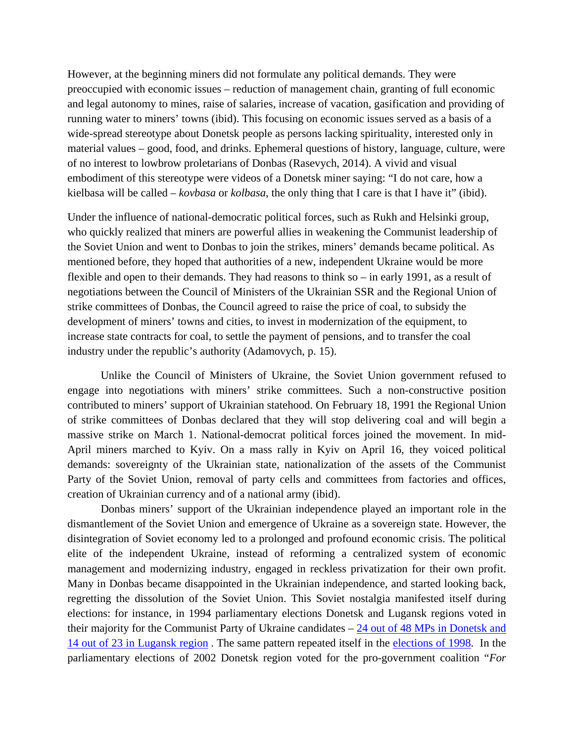However, at the beginning miners did not formulate any political demands. They were preoccupied with economic issues – reduction of management chain, granting of full economic and legal autonomy to mines, raise of salaries, increase of vacation, gasification and providing of running water to miners' towns (ibid). This focusing on economic issues served as a basis of a wide-spread stereotype about Donetsk people as persons lacking spirituality, interested only in material values – good, food, and drinks. Ephemeral questions of history, language, culture, were of no interest to lowbrow proletarians of Donbas (Rasevych, 2014). A vivid and visual embodiment of this stereotype were videos of a Donetsk miner saying: "I do not care, how a kielbasa will be called – *kovbasa* or *kolbasa*, the only thing that I care is that I have it" (ibid).

Under the influence of national-democratic political forces, such as Rukh and Helsinki group, who quickly realized that miners are powerful allies in weakening the Communist leadership of the Soviet Union and went to Donbas to join the strikes, miners' demands became political. As mentioned before, they hoped that authorities of a new, independent Ukraine would be more flexible and open to their demands. They had reasons to think so – in early 1991, as a result of negotiations between the Council of Ministers of the Ukrainian SSR and the Regional Union of strike committees of Donbas, the Council agreed to raise the price of coal, to subsidy the development of miners' towns and cities, to invest in modernization of the equipment, to increase state contracts for coal, to settle the payment of pensions, and to transfer the coal industry under the republic's authority (Adamovych, p. 15).

Unlike the Council of Ministers of Ukraine, the Soviet Union government refused to engage into negotiations with miners' strike committees. Such a non-constructive position contributed to miners' support of Ukrainian statehood. On February 18, 1991 the Regional Union of strike committees of Donbas declared that they will stop delivering coal and will begin a massive strike on March 1. National-democrat political forces joined the movement. In mid-April miners marched to Kyiv. On a mass rally in Kyiv on April 16, they voiced political demands: sovereignty of the Ukrainian state, nationalization of the assets of the Communist Party of the Soviet Union, removal of party cells and committees from factories and offices, creation of Ukrainian currency and of a national army (ibid).

Donbas miners' support of the Ukrainian independence played an important role in the dismantlement of the Soviet Union and emergence of Ukraine as a sovereign state. However, the disintegration of Soviet economy led to a prolonged and profound economic crisis. The political elite of the independent Ukraine, instead of reforming a centralized system of economic management and modernizing industry, engaged in reckless privatization for their own profit. Many in Donbas became disappointed in the Ukrainian independence, and started looking back, regretting the dissolution of the Soviet Union. This Soviet nostalgia manifested itself during elections: for instance, in 1994 parliamentary elections Donetsk and Lugansk regions voted in their majority for the Communist Party of Ukraine candidates – [24 out of 48 MPs in Donetsk and](https://en.wikipedia.org/wiki/Ukrainian_parliamentary_election,_1994)  [14 out of 23 in Lugansk region](https://en.wikipedia.org/wiki/Ukrainian_parliamentary_election,_1994) . The same pattern repeated itself in the [elections of 1998.](http://uk.wikipedia.org/wiki/%D0%9F%D0%B0%D1%80%D0%BB%D0%B0%D0%BC%D0%B5%D0%BD%D1%82%D1%81%D1%8C%D0%BA%D1%96_%D0%B2%D0%B8%D0%B1%D0%BE%D1%80%D0%B8_%D0%B2_%D0%A3%D0%BA%D1%80%D0%B0%D1%97%D0%BD%D1%96_1998#/media/File:1_%D0%9A%D0%9F%D0%A3.PNG) In the parliamentary elections of 2002 Donetsk region voted for the pro-government coalition "*For*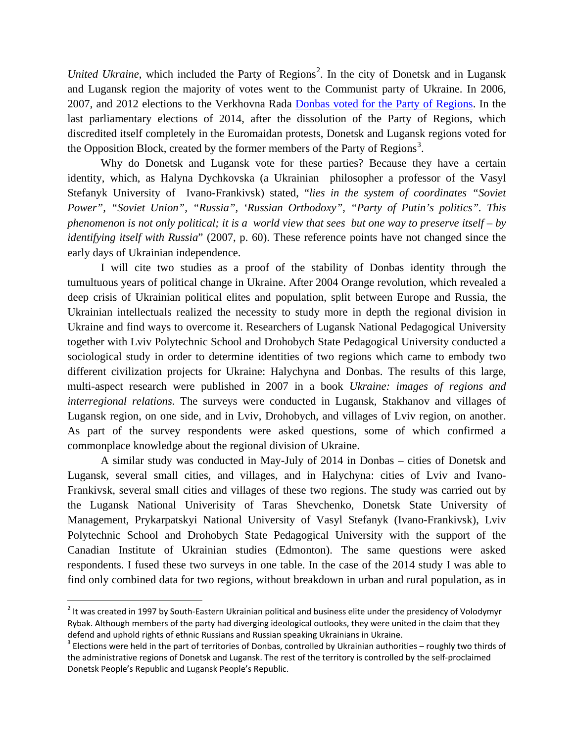United Ukraine, which included the Party of Regions<sup>[2](#page-3-0)</sup>. In the city of Donetsk and in Lugansk and Lugansk region the majority of votes went to the Communist party of Ukraine. In 2006, 2007, and 2012 elections to the Verkhovna Rada [Donbas voted for the Party of Regions.](http://en.wikipedia.org/wiki/Elections_in_Ukraine) In the last parliamentary elections of 2014, after the dissolution of the Party of Regions, which discredited itself completely in the Euromaidan protests, Donetsk and Lugansk regions voted for the Opposition Block, created by the former members of the Party of Regions<sup>[3](#page-3-1)</sup>.

Why do Donetsk and Lugansk vote for these parties? Because they have a certain identity, which, as Halyna Dychkovska (a Ukrainian philosopher a professor of the Vasyl Stefanyk University of Ivano-Frankivsk) stated, "*lies in the system of coordinates "Soviet Power", "Soviet Union", "Russia", 'Russian Orthodoxy", "Party of Putin's politics". This phenomenon is not only political; it is a world view that sees but one way to preserve itself – by identifying itself with Russia*" (2007, p. 60). These reference points have not changed since the early days of Ukrainian independence.

I will cite two studies as a proof of the stability of Donbas identity through the tumultuous years of political change in Ukraine. After 2004 Orange revolution, which revealed a deep crisis of Ukrainian political elites and population, split between Europe and Russia, the Ukrainian intellectuals realized the necessity to study more in depth the regional division in Ukraine and find ways to overcome it. Researchers of Lugansk National Pedagogical University together with Lviv Polytechnic School and Drohobych State Pedagogical University conducted a sociological study in order to determine identities of two regions which came to embody two different civilization projects for Ukraine: Halychyna and Donbas. The results of this large, multi-aspect research were published in 2007 in a book *Ukraine: images of regions and interregional relations*. The surveys were conducted in Lugansk, Stakhanov and villages of Lugansk region, on one side, and in Lviv, Drohobych, and villages of Lviv region, on another. As part of the survey respondents were asked questions, some of which confirmed a commonplace knowledge about the regional division of Ukraine.

A similar study was conducted in May-July of 2014 in Donbas – cities of Donetsk and Lugansk, several small cities, and villages, and in Halychyna: cities of Lviv and Ivano-Frankivsk, several small cities and villages of these two regions. The study was carried out by the Lugansk National Univerisity of Taras Shevchenko, Donetsk State University of Management, Prykarpatskyi National University of Vasyl Stefanyk (Ivano-Frankivsk), Lviv Polytechnic School and Drohobych State Pedagogical University with the support of the Canadian Institute of Ukrainian studies (Edmonton). The same questions were asked respondents. I fused these two surveys in one table. In the case of the 2014 study I was able to find only combined data for two regions, without breakdown in urban and rural population, as in

<span id="page-3-0"></span><sup>&</sup>lt;sup>2</sup> It was created in 1997 by South-Eastern Ukrainian political and business elite under the presidency of Volodymyr Rybak. Although members of the party had diverging ideological outlooks, they were united in the claim that they defend and uphold rights of ethnic Russians and Russian speaking Ukrainians in Ukraine.<br><sup>3</sup> Elections were held in the part of territories of Donbas, controlled by Ukrainian authorities – roughly two thirds of

<span id="page-3-1"></span>the administrative regions of Donetsk and Lugansk. The rest of the territory is controlled by the self-proclaimed Donetsk People's Republic and Lugansk People's Republic.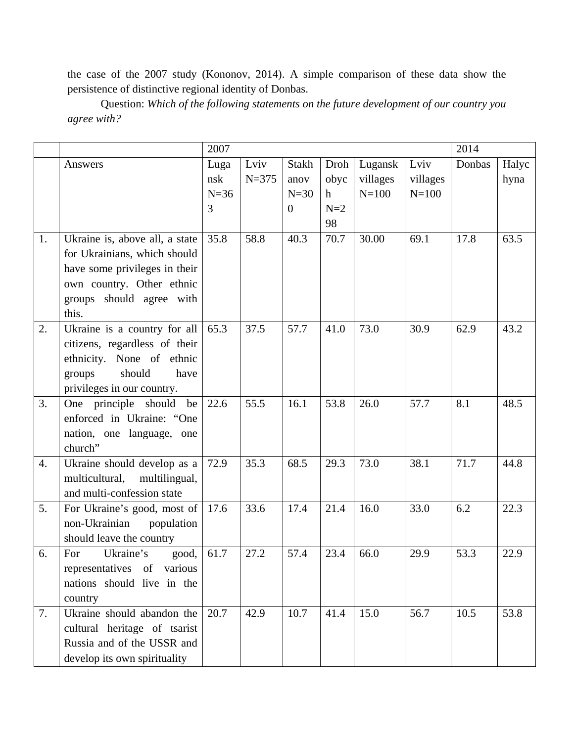the case of the 2007 study (Kononov, 2014). A simple comparison of these data show the persistence of distinctive regional identity of Donbas.

Question: *Which of the following statements on the future development of our country you agree with?*

|    |                                 | 2007   |           |                |       |           | 2014      |        |       |
|----|---------------------------------|--------|-----------|----------------|-------|-----------|-----------|--------|-------|
|    | Answers                         | Luga   | Lviv      | <b>Stakh</b>   | Droh  | Lugansk   | Lviv      | Donbas | Halyc |
|    |                                 | nsk    | $N = 375$ | anov           | obyc  | villages  | villages  |        | hyna  |
|    |                                 | $N=36$ |           | $N=30$         | h     | $N = 100$ | $N = 100$ |        |       |
|    |                                 | 3      |           | $\overline{0}$ | $N=2$ |           |           |        |       |
|    |                                 |        |           |                | 98    |           |           |        |       |
| 1. | Ukraine is, above all, a state  | 35.8   | 58.8      | 40.3           | 70.7  | 30.00     | 69.1      | 17.8   | 63.5  |
|    | for Ukrainians, which should    |        |           |                |       |           |           |        |       |
|    | have some privileges in their   |        |           |                |       |           |           |        |       |
|    | own country. Other ethnic       |        |           |                |       |           |           |        |       |
|    | groups should agree with        |        |           |                |       |           |           |        |       |
|    | this.                           |        |           |                |       |           |           |        |       |
| 2. | Ukraine is a country for all    | 65.3   | 37.5      | 57.7           | 41.0  | 73.0      | 30.9      | 62.9   | 43.2  |
|    | citizens, regardless of their   |        |           |                |       |           |           |        |       |
|    | ethnicity. None of ethnic       |        |           |                |       |           |           |        |       |
|    | should<br>groups<br>have        |        |           |                |       |           |           |        |       |
|    | privileges in our country.      |        |           |                |       |           |           |        |       |
| 3. | One principle should<br>be      | 22.6   | 55.5      | 16.1           | 53.8  | 26.0      | 57.7      | 8.1    | 48.5  |
|    | enforced in Ukraine: "One       |        |           |                |       |           |           |        |       |
|    | nation, one language, one       |        |           |                |       |           |           |        |       |
|    | church"                         |        |           |                |       |           |           |        |       |
| 4. | Ukraine should develop as a     | 72.9   | 35.3      | 68.5           | 29.3  | 73.0      | 38.1      | 71.7   | 44.8  |
|    | multicultural,<br>multilingual, |        |           |                |       |           |           |        |       |
|    | and multi-confession state      |        |           |                |       |           |           |        |       |
| 5. | For Ukraine's good, most of     | 17.6   | 33.6      | 17.4           | 21.4  | 16.0      | 33.0      | 6.2    | 22.3  |
|    | non-Ukrainian<br>population     |        |           |                |       |           |           |        |       |
|    | should leave the country        |        |           |                |       |           |           |        |       |
| 6. | Ukraine's<br>For<br>good,       | 61.7   | 27.2      | 57.4           | 23.4  | 66.0      | 29.9      | 53.3   | 22.9  |
|    | representatives of various      |        |           |                |       |           |           |        |       |
|    | nations should live in the      |        |           |                |       |           |           |        |       |
|    | country                         |        |           |                |       |           |           |        |       |
| 7. | Ukraine should abandon the      | 20.7   | 42.9      | 10.7           | 41.4  | 15.0      | 56.7      | 10.5   | 53.8  |
|    | cultural heritage of tsarist    |        |           |                |       |           |           |        |       |
|    | Russia and of the USSR and      |        |           |                |       |           |           |        |       |
|    | develop its own spirituality    |        |           |                |       |           |           |        |       |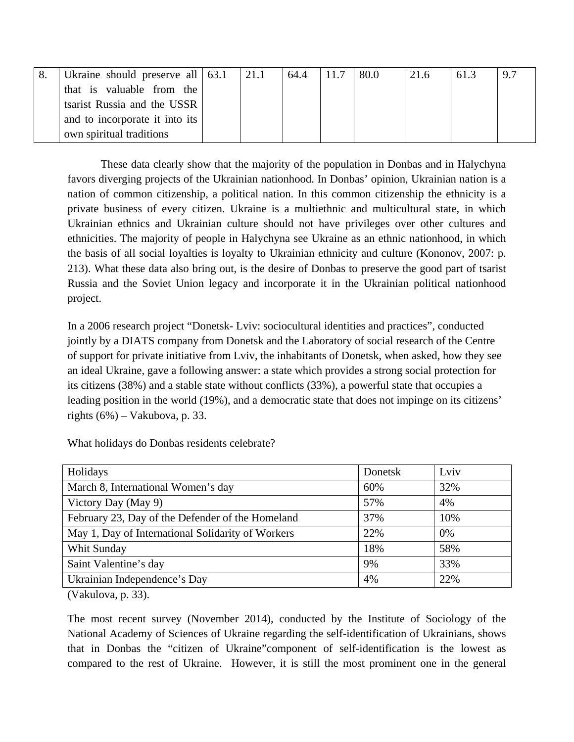| Ukraine should preserve all $\vert$ 63.1 | 21.1 | 64.4 | 11.7 | 80.0 | 21.6 | 61.3 | 9.7 |
|------------------------------------------|------|------|------|------|------|------|-----|
| that is valuable from the                |      |      |      |      |      |      |     |
| tsarist Russia and the USSR              |      |      |      |      |      |      |     |
| and to incorporate it into its           |      |      |      |      |      |      |     |
| own spiritual traditions                 |      |      |      |      |      |      |     |

These data clearly show that the majority of the population in Donbas and in Halychyna favors diverging projects of the Ukrainian nationhood. In Donbas' opinion, Ukrainian nation is a nation of common citizenship, a political nation. In this common citizenship the ethnicity is a private business of every citizen. Ukraine is a multiethnic and multicultural state, in which Ukrainian ethnics and Ukrainian culture should not have privileges over other cultures and ethnicities. The majority of people in Halychyna see Ukraine as an ethnic nationhood, in which the basis of all social loyalties is loyalty to Ukrainian ethnicity and culture (Kononov, 2007: p. 213). What these data also bring out, is the desire of Donbas to preserve the good part of tsarist Russia and the Soviet Union legacy and incorporate it in the Ukrainian political nationhood project.

In a 2006 research project "Donetsk- Lviv: sociocultural identities and practices", conducted jointly by a DIATS company from Donetsk and the Laboratory of social research of the Centre of support for private initiative from Lviv, the inhabitants of Donetsk, when asked, how they see an ideal Ukraine, gave a following answer: a state which provides a strong social protection for its citizens (38%) and a stable state without conflicts (33%), a powerful state that occupies a leading position in the world (19%), and a democratic state that does not impinge on its citizens' rights  $(6\%)$  – Vakubova, p. 33.

| Holidays                                          | Donetsk | Lviv |
|---------------------------------------------------|---------|------|
| March 8, International Women's day                | 60%     | 32%  |
| Victory Day (May 9)                               | 57%     | 4%   |
| February 23, Day of the Defender of the Homeland  | 37%     | 10%  |
| May 1, Day of International Solidarity of Workers | 22%     | 0%   |
| Whit Sunday                                       | 18%     | 58%  |
| Saint Valentine's day                             | 9%      | 33%  |
| Ukrainian Independence's Day                      | 4%      | 22%  |

What holidays do Donbas residents celebrate?

(Vakulova, p. 33).

The most recent survey (November 2014), conducted by the Institute of Sociology of the National Academy of Sciences of Ukraine regarding the self-identification of Ukrainians, shows that in Donbas the "citizen of Ukraine"component of self-identification is the lowest as compared to the rest of Ukraine. However, it is still the most prominent one in the general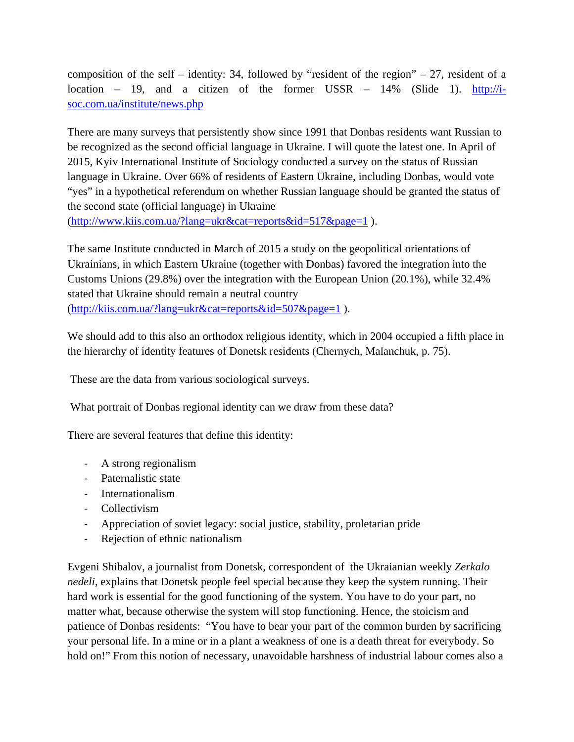composition of the self – identity: 34, followed by "resident of the region"  $-27$ , resident of a location – 19, and a citizen of the former USSR –  $14\%$  (Slide 1). [http://i](http://i-soc.com.ua/institute/news.php)[soc.com.ua/institute/news.php](http://i-soc.com.ua/institute/news.php)

There are many surveys that persistently show since 1991 that Donbas residents want Russian to be recognized as the second official language in Ukraine. I will quote the latest one. In April of 2015, Kyiv International Institute of Sociology conducted a survey on the status of Russian language in Ukraine. Over 66% of residents of Eastern Ukraine, including Donbas, would vote "yes" in a hypothetical referendum on whether Russian language should be granted the status of the second state (official language) in Ukraine [\(http://www.kiis.com.ua/?lang=ukr&cat=reports&id=517&page=1](http://www.kiis.com.ua/?lang=ukr&cat=reports&id=517&page=1) ).

The same Institute conducted in March of 2015 a study on the geopolitical orientations of Ukrainians, in which Eastern Ukraine (together with Donbas) favored the integration into the Customs Unions (29.8%) over the integration with the European Union (20.1%), while 32.4% stated that Ukraine should remain a neutral country [\(http://kiis.com.ua/?lang=ukr&cat=reports&id=507&page=1](http://kiis.com.ua/?lang=ukr&cat=reports&id=507&page=1) ).

We should add to this also an orthodox religious identity, which in 2004 occupied a fifth place in the hierarchy of identity features of Donetsk residents (Chernych, Malanchuk, p. 75).

These are the data from various sociological surveys.

What portrait of Donbas regional identity can we draw from these data?

There are several features that define this identity:

- A strong regionalism
- Paternalistic state
- Internationalism
- Collectivism
- Appreciation of soviet legacy: social justice, stability, proletarian pride
- Rejection of ethnic nationalism

Evgeni Shibalov, a journalist from Donetsk, correspondent of the Ukraianian weekly *Zerkalo nedeli*, explains that Donetsk people feel special because they keep the system running. Their hard work is essential for the good functioning of the system. You have to do your part, no matter what, because otherwise the system will stop functioning. Hence, the stoicism and patience of Donbas residents: "You have to bear your part of the common burden by sacrificing your personal life. In a mine or in a plant a weakness of one is a death threat for everybody. So hold on!" From this notion of necessary, unavoidable harshness of industrial labour comes also a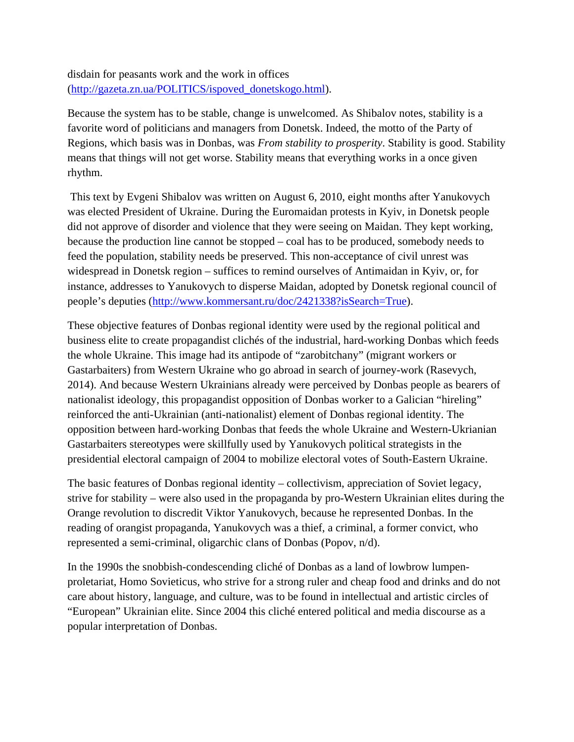disdain for peasants work and the work in offices [\(http://gazeta.zn.ua/POLITICS/ispoved\\_donetskogo.html\)](http://gazeta.zn.ua/POLITICS/ispoved_donetskogo.html).

Because the system has to be stable, change is unwelcomed. As Shibalov notes, stability is a favorite word of politicians and managers from Donetsk. Indeed, the motto of the Party of Regions, which basis was in Donbas, was *From stability to prosperity*. Stability is good. Stability means that things will not get worse. Stability means that everything works in a once given rhythm.

This text by Evgeni Shibalov was written on August 6, 2010, eight months after Yanukovych was elected President of Ukraine. During the Euromaidan protests in Kyiv, in Donetsk people did not approve of disorder and violence that they were seeing on Maidan. They kept working, because the production line cannot be stopped – coal has to be produced, somebody needs to feed the population, stability needs be preserved. This non-acceptance of civil unrest was widespread in Donetsk region – suffices to remind ourselves of Antimaidan in Kyiv, or, for instance, addresses to Yanukovych to disperse Maidan, adopted by Donetsk regional council of people's deputies [\(http://www.kommersant.ru/doc/2421338?isSearch=True\)](http://www.kommersant.ru/doc/2421338?isSearch=True).

These objective features of Donbas regional identity were used by the regional political and business elite to create propagandist clichés of the industrial, hard-working Donbas which feeds the whole Ukraine. This image had its antipode of "zarobitchany" (migrant workers or Gastarbaiters) from Western Ukraine who go abroad in search of journey-work (Rasevych, 2014). And because Western Ukrainians already were perceived by Donbas people as bearers of nationalist ideology, this propagandist opposition of Donbas worker to a Galician "hireling" reinforced the anti-Ukrainian (anti-nationalist) element of Donbas regional identity. The opposition between hard-working Donbas that feeds the whole Ukraine and Western-Ukrianian Gastarbaiters stereotypes were skillfully used by Yanukovych political strategists in the presidential electoral campaign of 2004 to mobilize electoral votes of South-Eastern Ukraine.

The basic features of Donbas regional identity – collectivism, appreciation of Soviet legacy, strive for stability – were also used in the propaganda by pro-Western Ukrainian elites during the Orange revolution to discredit Viktor Yanukovych, because he represented Donbas. In the reading of orangist propaganda, Yanukovych was a thief, a criminal, a former convict, who represented a semi-criminal, oligarchic clans of Donbas (Popov, n/d).

In the 1990s the snobbish-condescending cliché of Donbas as a land of lowbrow lumpenproletariat, Homo Sovieticus, who strive for a strong ruler and cheap food and drinks and do not care about history, language, and culture, was to be found in intellectual and artistic circles of "European" Ukrainian elite. Since 2004 this cliché entered political and media discourse as a popular interpretation of Donbas.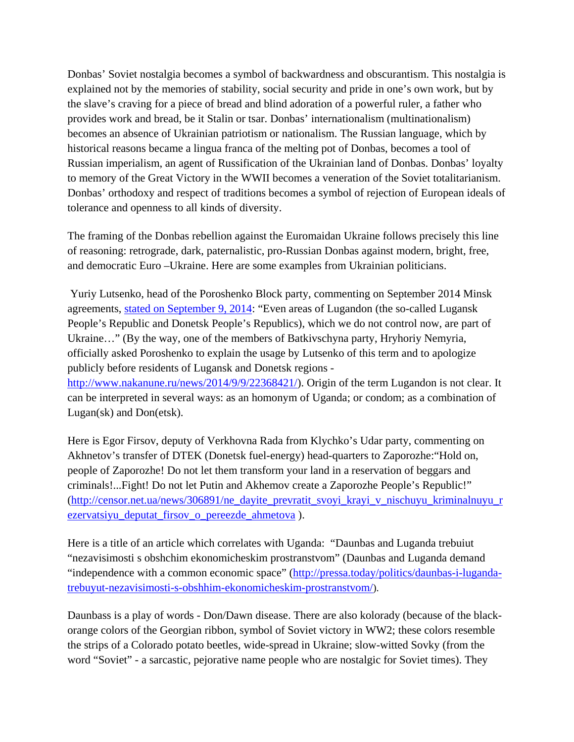Donbas' Soviet nostalgia becomes a symbol of backwardness and obscurantism. This nostalgia is explained not by the memories of stability, social security and pride in one's own work, but by the slave's craving for a piece of bread and blind adoration of a powerful ruler, a father who provides work and bread, be it Stalin or tsar. Donbas' internationalism (multinationalism) becomes an absence of Ukrainian patriotism or nationalism. The Russian language, which by historical reasons became a lingua franca of the melting pot of Donbas, becomes a tool of Russian imperialism, an agent of Russification of the Ukrainian land of Donbas. Donbas' loyalty to memory of the Great Victory in the WWII becomes a veneration of the Soviet totalitarianism. Donbas' orthodoxy and respect of traditions becomes a symbol of rejection of European ideals of tolerance and openness to all kinds of diversity.

The framing of the Donbas rebellion against the Euromaidan Ukraine follows precisely this line of reasoning: retrograde, dark, paternalistic, pro-Russian Donbas against modern, bright, free, and democratic Euro –Ukraine. Here are some examples from Ukrainian politicians.

Yuriy Lutsenko, head of the Poroshenko Block party, commenting on September 2014 Minsk agreements, [stated on September 9, 2014:](http://www.newsru.com/world/09sep2014/osobstatus.html) "Even areas of Lugandon (the so-called Lugansk People's Republic and Donetsk People's Republics), which we do not control now, are part of Ukraine…" (By the way, one of the members of Batkivschyna party, Hryhoriy Nemyria, officially asked Poroshenko to explain the usage by Lutsenko of this term and to apologize publicly before residents of Lugansk and Donetsk regions [http://www.nakanune.ru/news/2014/9/9/22368421/\)](http://www.nakanune.ru/news/2014/9/9/22368421/). Origin of the term Lugandon is not clear. It

can be interpreted in several ways: as an homonym of Uganda; or condom; as a combination of Lugan(sk) and Don(etsk).

Here is Egor Firsov, deputy of Verkhovna Rada from Klychko's Udar party, commenting on Akhnetov's transfer of DTEK (Donetsk fuel-energy) head-quarters to Zaporozhe:"Hold on, people of Zaporozhe! Do not let them transform your land in a reservation of beggars and criminals!...Fight! Do not let Putin and Akhemov create a Zaporozhe People's Republic!" [\(http://censor.net.ua/news/306891/ne\\_dayite\\_prevratit\\_svoyi\\_krayi\\_v\\_nischuyu\\_kriminalnuyu\\_r](http://censor.net.ua/news/306891/ne_dayite_prevratit_svoyi_krayi_v_nischuyu_kriminalnuyu_rezervatsiyu_deputat_firsov_o_pereezde_ahmetova) [ezervatsiyu\\_deputat\\_firsov\\_o\\_pereezde\\_ahmetova](http://censor.net.ua/news/306891/ne_dayite_prevratit_svoyi_krayi_v_nischuyu_kriminalnuyu_rezervatsiyu_deputat_firsov_o_pereezde_ahmetova) ).

Here is a title of an article which correlates with Uganda: "Daunbas and Luganda trebuiut "nezavisimosti s obshchim ekonomicheskim prostranstvom" (Daunbas and Luganda demand "independence with a common economic space" [\(http://pressa.today/politics/daunbas-i-luganda](http://pressa.today/politics/daunbas-i-luganda-trebuyut-nezavisimosti-s-obshhim-ekonomicheskim-prostranstvom/)[trebuyut-nezavisimosti-s-obshhim-ekonomicheskim-prostranstvom/\)](http://pressa.today/politics/daunbas-i-luganda-trebuyut-nezavisimosti-s-obshhim-ekonomicheskim-prostranstvom/).

Daunbass is a play of words - Don/Dawn disease. There are also kolorady (because of the blackorange colors of the Georgian ribbon, symbol of Soviet victory in WW2; these colors resemble the strips of a Colorado potato beetles, wide-spread in Ukraine; slow-witted Sovky (from the word "Soviet" - a sarcastic, pejorative name people who are nostalgic for Soviet times). They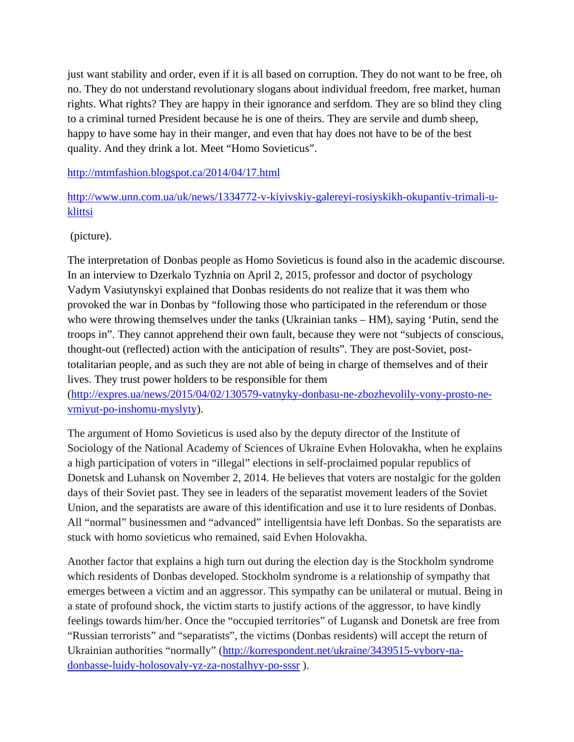just want stability and order, even if it is all based on corruption. They do not want to be free, oh no. They do not understand revolutionary slogans about individual freedom, free market, human rights. What rights? They are happy in their ignorance and serfdom. They are so blind they cling to a criminal turned President because he is one of theirs. They are servile and dumb sheep, happy to have some hay in their manger, and even that hay does not have to be of the best quality. And they drink a lot. Meet "Homo Sovieticus".

<http://mtmfashion.blogspot.ca/2014/04/17.html>

[http://www.unn.com.ua/uk/news/1334772-v-kiyivskiy-galereyi-rosiyskikh-okupantiv-trimali-u](http://www.unn.com.ua/uk/news/1334772-v-kiyivskiy-galereyi-rosiyskikh-okupantiv-trimali-u-klittsi)[klittsi](http://www.unn.com.ua/uk/news/1334772-v-kiyivskiy-galereyi-rosiyskikh-okupantiv-trimali-u-klittsi)

(picture).

The interpretation of Donbas people as Homo Sovieticus is found also in the academic discourse. In an interview to Dzerkalo Tyzhnia on April 2, 2015, professor and doctor of psychology Vadym Vasiutynskyi explained that Donbas residents do not realize that it was them who provoked the war in Donbas by "following those who participated in the referendum or those who were throwing themselves under the tanks (Ukrainian tanks – HM), saying 'Putin, send the troops in". They cannot apprehend their own fault, because they were not "subjects of conscious, thought-out (reflected) action with the anticipation of results". They are post-Soviet, posttotalitarian people, and as such they are not able of being in charge of themselves and of their lives. They trust power holders to be responsible for them

[\(http://expres.ua/news/2015/04/02/130579-vatnyky-donbasu-ne-zbozhevolily-vony-prosto-ne](http://expres.ua/news/2015/04/02/130579-vatnyky-donbasu-ne-zbozhevolily-vony-prosto-ne-vmiyut-po-inshomu-myslyty)[vmiyut-po-inshomu-myslyty\)](http://expres.ua/news/2015/04/02/130579-vatnyky-donbasu-ne-zbozhevolily-vony-prosto-ne-vmiyut-po-inshomu-myslyty).

The argument of Homo Sovieticus is used also by the deputy director of the Institute of Sociology of the National Academy of Sciences of Ukraine Evhen Holovakha, when he explains a high participation of voters in "illegal" elections in self-proclaimed popular republics of Donetsk and Luhansk on November 2, 2014. He believes that voters are nostalgic for the golden days of their Soviet past. They see in leaders of the separatist movement leaders of the Soviet Union, and the separatists are aware of this identification and use it to lure residents of Donbas. All "normal" businessmen and "advanced" intelligentsia have left Donbas. So the separatists are stuck with homo sovieticus who remained, said Evhen Holovakha.

Another factor that explains a high turn out during the election day is the Stockholm syndrome which residents of Donbas developed. Stockholm syndrome is a relationship of sympathy that emerges between a victim and an aggressor. This sympathy can be unilateral or mutual. Being in a state of profound shock, the victim starts to justify actions of the aggressor, to have kindly feelings towards him/her. Once the "occupied territories" of Lugansk and Donetsk are free from "Russian terrorists" and "separatists", the victims (Donbas residents) will accept the return of Ukrainian authorities "normally" [\(http://korrespondent.net/ukraine/3439515-vybory-na](http://korrespondent.net/ukraine/3439515-vybory-na-donbasse-luidy-holosovaly-yz-za-nostalhyy-po-sssr)[donbasse-luidy-holosovaly-yz-za-nostalhyy-po-sssr](http://korrespondent.net/ukraine/3439515-vybory-na-donbasse-luidy-holosovaly-yz-za-nostalhyy-po-sssr) ).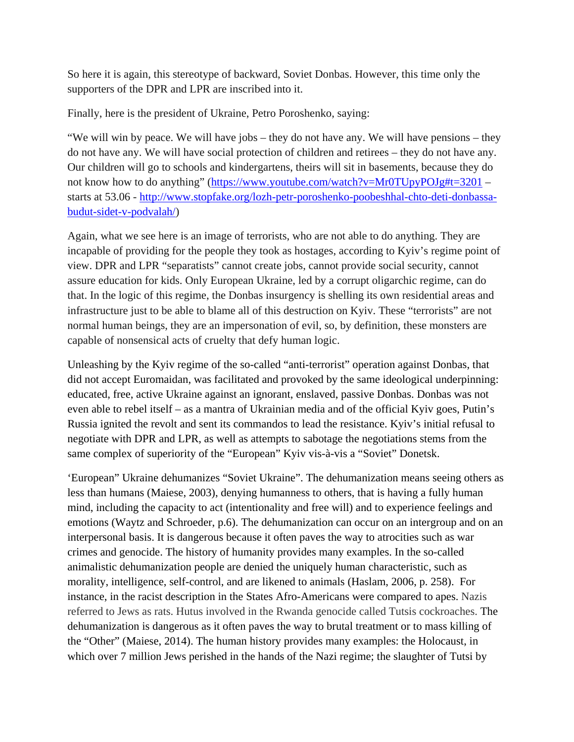So here it is again, this stereotype of backward, Soviet Donbas. However, this time only the supporters of the DPR and LPR are inscribed into it.

Finally, here is the president of Ukraine, Petro Poroshenko, saying:

"We will win by peace. We will have jobs – they do not have any. We will have pensions – they do not have any. We will have social protection of children and retirees – they do not have any. Our children will go to schools and kindergartens, theirs will sit in basements, because they do not know how to do anything" [\(https://www.youtube.com/watch?v=Mr0TUpyPOJg#t=3201](https://www.youtube.com/watch?v=Mr0TUpyPOJg#t=3201) – starts at 53.06 - [http://www.stopfake.org/lozh-petr-poroshenko-poobeshhal-chto-deti-donbassa](http://www.stopfake.org/lozh-petr-poroshenko-poobeshhal-chto-deti-donbassa-budut-sidet-v-podvalah/)[budut-sidet-v-podvalah/\)](http://www.stopfake.org/lozh-petr-poroshenko-poobeshhal-chto-deti-donbassa-budut-sidet-v-podvalah/)

Again, what we see here is an image of terrorists, who are not able to do anything. They are incapable of providing for the people they took as hostages, according to Kyiv's regime point of view. DPR and LPR "separatists" cannot create jobs, cannot provide social security, cannot assure education for kids. Only European Ukraine, led by a corrupt oligarchic regime, can do that. In the logic of this regime, the Donbas insurgency is shelling its own residential areas and infrastructure just to be able to blame all of this destruction on Kyiv. These "terrorists" are not normal human beings, they are an impersonation of evil, so, by definition, these monsters are capable of nonsensical acts of cruelty that defy human logic.

Unleashing by the Kyiv regime of the so-called "anti-terrorist" operation against Donbas, that did not accept Euromaidan, was facilitated and provoked by the same ideological underpinning: educated, free, active Ukraine against an ignorant, enslaved, passive Donbas. Donbas was not even able to rebel itself – as a mantra of Ukrainian media and of the official Kyiv goes, Putin's Russia ignited the revolt and sent its commandos to lead the resistance. Kyiv's initial refusal to negotiate with DPR and LPR, as well as attempts to sabotage the negotiations stems from the same complex of superiority of the "European" Kyiv vis-à-vis a "Soviet" Donetsk.

'European" Ukraine dehumanizes "Soviet Ukraine". The dehumanization means seeing others as less than humans (Maiese, 2003), denying humanness to others, that is having a fully human mind, including the capacity to act (intentionality and free will) and to experience feelings and emotions (Waytz and Schroeder, p.6). The dehumanization can occur on an intergroup and on an interpersonal basis. It is dangerous because it often paves the way to atrocities such as war crimes and genocide. The history of humanity provides many examples. In the so-called animalistic dehumanization people are denied the uniquely human characteristic, such as morality, intelligence, self-control, and are likened to animals (Haslam, 2006, p. 258). For instance, in the racist description in the States Afro-Americans were compared to apes. Nazis referred to Jews as rats. Hutus involved in the Rwanda genocide called Tutsis cockroaches. The dehumanization is dangerous as it often paves the way to brutal treatment or to mass killing of the "Other" (Maiese, 2014). The human history provides many examples: the Holocaust, in which over 7 million Jews perished in the hands of the Nazi regime; the slaughter of Tutsi by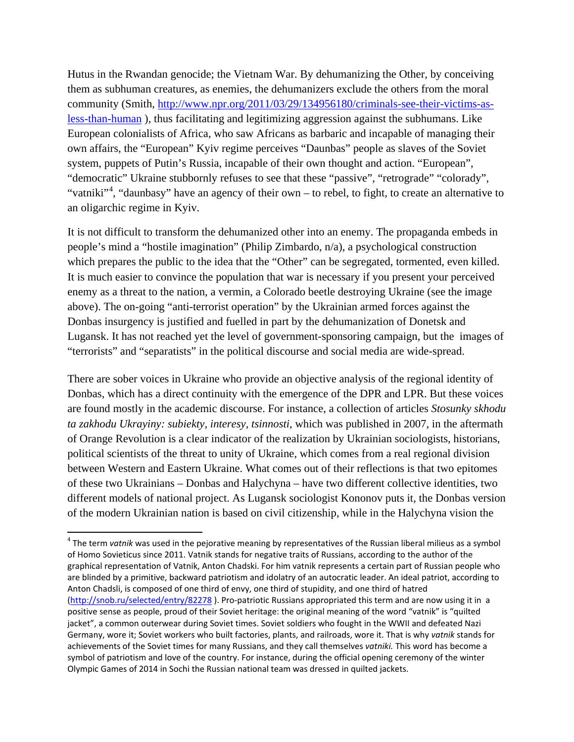Hutus in the Rwandan genocide; the Vietnam War. By dehumanizing the Other, by conceiving them as subhuman creatures, as enemies, the dehumanizers exclude the others from the moral community (Smith, [http://www.npr.org/2011/03/29/134956180/criminals-see-their-victims-as](http://www.npr.org/2011/03/29/134956180/criminals-see-their-victims-as-less-than-human)[less-than-human](http://www.npr.org/2011/03/29/134956180/criminals-see-their-victims-as-less-than-human) ), thus facilitating and legitimizing aggression against the subhumans. Like European colonialists of Africa, who saw Africans as barbaric and incapable of managing their own affairs, the "European" Kyiv regime perceives "Daunbas" people as slaves of the Soviet system, puppets of Putin's Russia, incapable of their own thought and action. "European", "democratic" Ukraine stubbornly refuses to see that these "passive", "retrograde" "colorady", "vatniki"<sup>[4](#page-11-0)</sup>, "daunbasy" have an agency of their own – to rebel, to fight, to create an alternative to an oligarchic regime in Kyiv.

It is not difficult to transform the dehumanized other into an enemy. The propaganda embeds in people's mind a "hostile imagination" (Philip Zimbardo, n/a), a psychological construction which prepares the public to the idea that the "Other" can be segregated, tormented, even killed. It is much easier to convince the population that war is necessary if you present your perceived enemy as a threat to the nation, a vermin, a Colorado beetle destroying Ukraine (see the image above). The on-going "anti-terrorist operation" by the Ukrainian armed forces against the Donbas insurgency is justified and fuelled in part by the dehumanization of Donetsk and Lugansk. It has not reached yet the level of government-sponsoring campaign, but the images of "terrorists" and "separatists" in the political discourse and social media are wide-spread.

There are sober voices in Ukraine who provide an objective analysis of the regional identity of Donbas, which has a direct continuity with the emergence of the DPR and LPR. But these voices are found mostly in the academic discourse. For instance, a collection of articles *Stosunky skhodu ta zakhodu Ukrayiny: subiekty, interesy, tsinnosti*, which was published in 2007, in the aftermath of Orange Revolution is a clear indicator of the realization by Ukrainian sociologists, historians, political scientists of the threat to unity of Ukraine, which comes from a real regional division between Western and Eastern Ukraine. What comes out of their reflections is that two epitomes of these two Ukrainians – Donbas and Halychyna – have two different collective identities, two different models of national project. As Lugansk sociologist Kononov puts it, the Donbas version of the modern Ukrainian nation is based on civil citizenship, while in the Halychyna vision the

<span id="page-11-0"></span><sup>&</sup>lt;sup>4</sup> The term *vatnik* was used in the pejorative meaning by representatives of the Russian liberal milieus as a symbol of Homo Sovieticus since 2011. Vatnik stands for negative traits of Russians, according to the author of the graphical representation of Vatnik, Anton Chadski. For him vatnik represents a certain part of Russian people who are blinded by a primitive, backward patriotism and idolatry of an autocratic leader. An ideal patriot, according to Anton Chadsli, is composed of one third of envy, one third of stupidity, and one third of hatred [\(http://snob.ru/selected/entry/82278](http://snob.ru/selected/entry/82278) ). Pro-patriotic Russians appropriated this term and are now using it in a positive sense as people, proud of their Soviet heritage: the original meaning of the word "vatnik" is "quilted jacket", a common outerwear during Soviet times. Soviet soldiers who fought in the WWII and defeated Nazi Germany, wore it; Soviet workers who built factories, plants, and railroads, wore it. That is why *vatnik* stands for achievements of the Soviet times for many Russians, and they call themselves *vatniki.* This word has become a symbol of patriotism and love of the country. For instance, during the official opening ceremony of the winter Olympic Games of 2014 in Sochi the Russian national team was dressed in quilted jackets.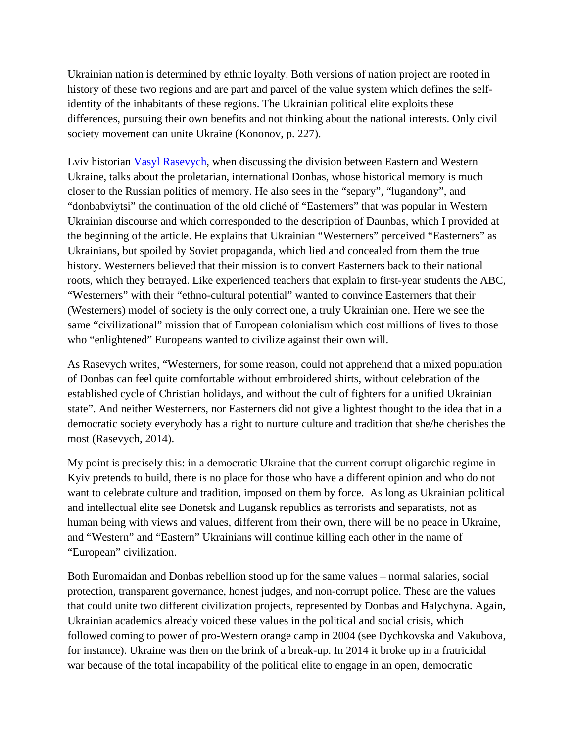Ukrainian nation is determined by ethnic loyalty. Both versions of nation project are rooted in history of these two regions and are part and parcel of the value system which defines the selfidentity of the inhabitants of these regions. The Ukrainian political elite exploits these differences, pursuing their own benefits and not thinking about the national interests. Only civil society movement can unite Ukraine (Kononov, p. 227).

Lviv historian [Vasyl Rasevych,](http://zaxid.net/news/showNews.do?kovbasa_ye_kovbasa&objectId=1335616) when discussing the division between Eastern and Western Ukraine, talks about the proletarian, international Donbas, whose historical memory is much closer to the Russian politics of memory. He also sees in the "separy", "lugandony", and "donbabviytsi" the continuation of the old cliché of "Easterners" that was popular in Western Ukrainian discourse and which corresponded to the description of Daunbas, which I provided at the beginning of the article. He explains that Ukrainian "Westerners" perceived "Easterners" as Ukrainians, but spoiled by Soviet propaganda, which lied and concealed from them the true history. Westerners believed that their mission is to convert Easterners back to their national roots, which they betrayed. Like experienced teachers that explain to first-year students the ABC, "Westerners" with their "ethno-cultural potential" wanted to convince Easterners that their (Westerners) model of society is the only correct one, a truly Ukrainian one. Here we see the same "civilizational" mission that of European colonialism which cost millions of lives to those who "enlightened" Europeans wanted to civilize against their own will.

As Rasevych writes, "Westerners, for some reason, could not apprehend that a mixed population of Donbas can feel quite comfortable without embroidered shirts, without celebration of the established cycle of Christian holidays, and without the cult of fighters for a unified Ukrainian state". And neither Westerners, nor Easterners did not give a lightest thought to the idea that in a democratic society everybody has a right to nurture culture and tradition that she/he cherishes the most (Rasevych, 2014).

My point is precisely this: in a democratic Ukraine that the current corrupt oligarchic regime in Kyiv pretends to build, there is no place for those who have a different opinion and who do not want to celebrate culture and tradition, imposed on them by force. As long as Ukrainian political and intellectual elite see Donetsk and Lugansk republics as terrorists and separatists, not as human being with views and values, different from their own, there will be no peace in Ukraine, and "Western" and "Eastern" Ukrainians will continue killing each other in the name of "European" civilization.

Both Euromaidan and Donbas rebellion stood up for the same values – normal salaries, social protection, transparent governance, honest judges, and non-corrupt police. These are the values that could unite two different civilization projects, represented by Donbas and Halychyna. Again, Ukrainian academics already voiced these values in the political and social crisis, which followed coming to power of pro-Western orange camp in 2004 (see Dychkovska and Vakubova, for instance). Ukraine was then on the brink of a break-up. In 2014 it broke up in a fratricidal war because of the total incapability of the political elite to engage in an open, democratic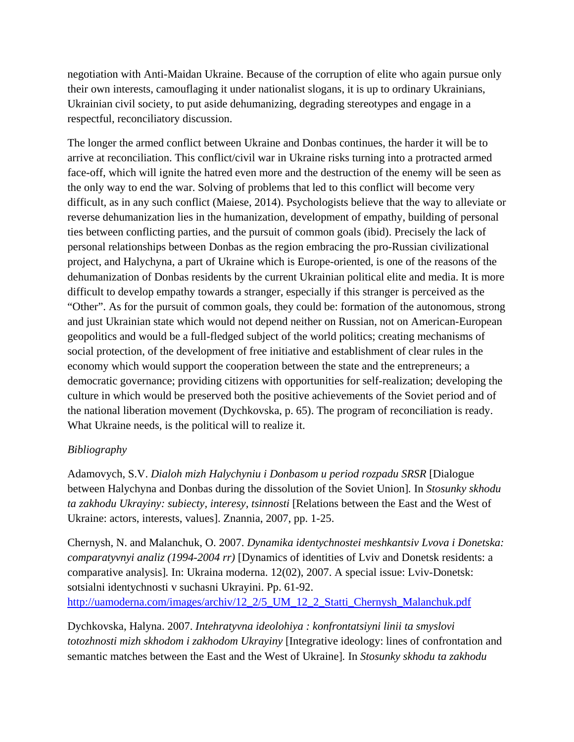negotiation with Anti-Maidan Ukraine. Because of the corruption of elite who again pursue only their own interests, camouflaging it under nationalist slogans, it is up to ordinary Ukrainians, Ukrainian civil society, to put aside dehumanizing, degrading stereotypes and engage in a respectful, reconciliatory discussion.

The longer the armed conflict between Ukraine and Donbas continues, the harder it will be to arrive at reconciliation. This conflict/civil war in Ukraine risks turning into a protracted armed face-off, which will ignite the hatred even more and the destruction of the enemy will be seen as the only way to end the war. Solving of problems that led to this conflict will become very difficult, as in any such conflict (Maiese, 2014). Psychologists believe that the way to alleviate or reverse dehumanization lies in the humanization, development of empathy, building of personal ties between conflicting parties, and the pursuit of common goals (ibid). Precisely the lack of personal relationships between Donbas as the region embracing the pro-Russian civilizational project, and Halychyna, a part of Ukraine which is Europe-oriented, is one of the reasons of the dehumanization of Donbas residents by the current Ukrainian political elite and media. It is more difficult to develop empathy towards a stranger, especially if this stranger is perceived as the "Other". As for the pursuit of common goals, they could be: formation of the autonomous, strong and just Ukrainian state which would not depend neither on Russian, not on American-European geopolitics and would be a full-fledged subject of the world politics; creating mechanisms of social protection, of the development of free initiative and establishment of clear rules in the economy which would support the cooperation between the state and the entrepreneurs; a democratic governance; providing citizens with opportunities for self-realization; developing the culture in which would be preserved both the positive achievements of the Soviet period and of the national liberation movement (Dychkovska, p. 65). The program of reconciliation is ready. What Ukraine needs, is the political will to realize it.

## *Bibliography*

Adamovych, S.V. *Dialoh mizh Halychyniu i Donbasom u period rozpadu SRSR* [Dialogue between Halychyna and Donbas during the dissolution of the Soviet Union]*.* In *Stosunky skhodu ta zakhodu Ukrayiny: subiecty, interesy, tsinnosti* [Relations between the East and the West of Ukraine: actors, interests, values]. Znannia, 2007, pp. 1-25.

Chernysh, N. and Malanchuk, O. 2007. *Dynamika identychnostei meshkantsiv Lvova i Donetska: comparatyvnyi analiz (1994-2004 rr)* [Dynamics of identities of Lviv and Donetsk residents: a comparative analysis]*.* In: Ukraina moderna. 12(02), 2007. A special issue: Lviv-Donetsk: sotsialni identychnosti v suchasni Ukrayini. Pp. 61-92. [http://uamoderna.com/images/archiv/12\\_2/5\\_UM\\_12\\_2\\_Statti\\_Chernysh\\_Malanchuk.pdf](http://uamoderna.com/images/archiv/12_2/5_UM_12_2_Statti_Chernysh_Malanchuk.pdf)

Dychkovska, Halyna. 2007. *Intehratyvna ideolohiya : konfrontatsiyni linii ta smyslovi totozhnosti mizh skhodom i zakhodom Ukrayiny* [Integrative ideology: lines of confrontation and semantic matches between the East and the West of Ukraine]*.* In *Stosunky skhodu ta zakhodu*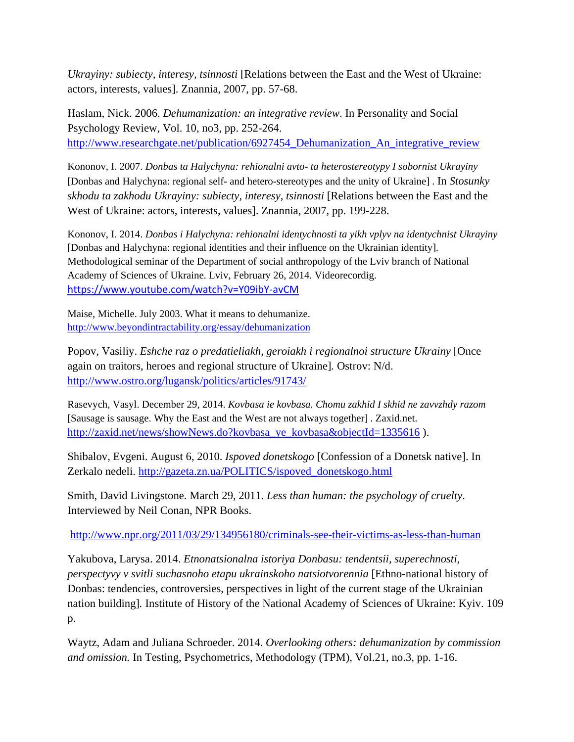*Ukrayiny: subiecty, interesy, tsinnosti* [Relations between the East and the West of Ukraine: actors, interests, values]. Znannia, 2007, pp. 57-68.

Haslam, Nick. 2006. *Dehumanization: an integrative review*. In Personality and Social Psychology Review, Vol. 10, no3, pp. 252-264. http://www.researchgate.net/publication/6927454 Dehumanization An integrative review

Kononov, I. 2007. *Donbas ta Halychyna: rehionalni avto- ta heterostereotypy I sobornist Ukrayiny* [Donbas and Halychyna: regional self- and hetero-stereotypes and the unity of Ukraine] . In *Stosunky skhodu ta zakhodu Ukrayiny: subiecty, interesy, tsinnosti* [Relations between the East and the West of Ukraine: actors, interests, values]. Znannia, 2007, pp. 199-228.

Kononov, I. 2014. *Donbas i Halychyna: rehionalni identychnosti ta yikh vplyv na identychnist Ukrayiny* [Donbas and Halychyna: regional identities and their influence on the Ukrainian identity]. Methodological seminar of the Department of social anthropology of the Lviv branch of National Academy of Sciences of Ukraine. Lviv, February 26, 2014. Videorecordig. <https://www.youtube.com/watch?v=Y09ibY-avCM>

Maise, Michelle. July 2003. What it means to dehumanize. <http://www.beyondintractability.org/essay/dehumanization>

Popov, Vasiliy. *Eshche raz o predatieliakh, geroiakh i regionalnoi structure Ukrainy* [Once again on traitors, heroes and regional structure of Ukraine]*.* Ostrov: N/d. <http://www.ostro.org/lugansk/politics/articles/91743/>

Rasevych, Vasyl. December 29, 2014. *Kovbasa ie kovbasa. Chomu zakhid I skhid ne zavvzhdy razom* [Sausage is sausage. Why the East and the West are not always together] . Zaxid.net. [http://zaxid.net/news/showNews.do?kovbasa\\_ye\\_kovbasa&objectId=1335616](http://zaxid.net/news/showNews.do?kovbasa_ye_kovbasa&objectId=1335616)).

Shibalov, Evgeni. August 6, 2010. *Ispoved donetskogo* [Confession of a Donetsk native]. In Zerkalo nedeli. [http://gazeta.zn.ua/POLITICS/ispoved\\_donetskogo.html](http://gazeta.zn.ua/POLITICS/ispoved_donetskogo.html)

Smith, David Livingstone. March 29, 2011. *Less than human: the psychology of cruelty*. Interviewed by Neil Conan, NPR Books.

<http://www.npr.org/2011/03/29/134956180/criminals-see-their-victims-as-less-than-human>

Yakubova, Larysa. 2014. *Etnonatsionalna istoriya Donbasu: tendentsii, superechnosti, perspectyvy v svitli suchasnoho etapu ukrainskoho natsiotvorennia* [Ethno-national history of Donbas: tendencies, controversies, perspectives in light of the current stage of the Ukrainian nation building]*.* Institute of History of the National Academy of Sciences of Ukraine: Kyiv. 109 p.

Waytz, Adam and Juliana Schroeder. 2014. *Overlooking others: dehumanization by commission and omission.* In Testing, Psychometrics, Methodology (TPM), Vol.21, no.3, pp. 1-16.